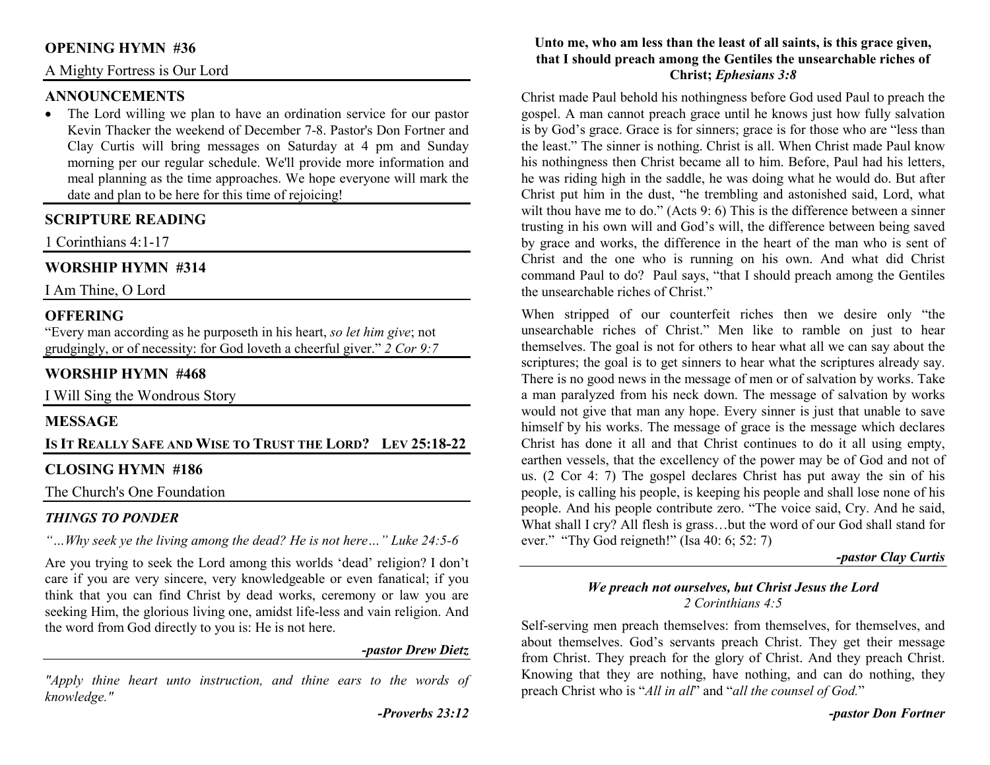### **OPENING HYMN #36**

## A Mighty Fortress is Our Lord

## **ANNOUNCEMENTS**

 • The Lord willing we plan to have an ordination service for our pastor Kevin Thacker the weekend of December 7-8. Pastor's Don Fortner and Clay Curtis will bring messages on Saturday at 4 pm and Sunday morning per our regular schedule. We'll provide more information and meal planning as the time approaches. We hope everyone will mark the date and plan to be here for this time of rejoicing!

## **SCRIPTURE READING**

1 Corinthians 4:1-17

## **WORSHIP HYMN #314**

I Am Thine, O Lord

## **OFFERING**

 "Every man according as he purposeth in his heart, *so let him give*; not grudgingly, or of necessity: for God loveth a cheerful giver." *2 Cor 9:7*

## **WORSHIP HYMN #468**

I Will Sing the Wondrous Story

#### **MESSAGE**

#### **IS IT REALLY SAFE AND WISE TO TRUST THE LORD?LEV 25:18-22**

#### **CLOSING HYMN #186**

The Church's One Foundation

#### *THINGS TO PONDER*

*"…Why seek ye the living among the dead? He is not here…" Luke 24:5-6* 

Are you trying to seek the Lord among this worlds 'dead' religion? I don't care if you are very sincere, very knowledgeable or even fanatical; if you think that you can find Christ by dead works, ceremony or law you are seeking Him, the glorious living one, amidst life-less and vain religion. And the word from God directly to you is: He is not here.

#### *-pastor Drew Dietz*

*"Apply thine heart unto instruction, and thine ears to the words of knowledge."* 

#### **Unto me, who am less than the least of all saints, is this grace given, that I should preach among the Gentiles the unsearchable riches of Christ;** *Ephesians 3:8*

Christ made Paul behold his nothingness before God used Paul to preach the gospel. A man cannot preach grace until he knows just how fully salvation is by God's grace. Grace is for sinners; grace is for those who are "less than the least." The sinner is nothing. Christ is all. When Christ made Paul know his nothingness then Christ became all to him. Before, Paul had his letters, he was riding high in the saddle, he was doing what he would do. But after Christ put him in the dust, "he trembling and astonished said, Lord, what wilt thou have me to do." (Acts 9: 6) This is the difference between a sinner trusting in his own will and God's will, the difference between being saved by grace and works, the difference in the heart of the man who is sent of Christ and the one who is running on his own. And what did Christ command Paul to do? Paul says, "that I should preach among the Gentiles the unsearchable riches of Christ."

When stripped of our counterfeit riches then we desire only "the unsearchable riches of Christ." Men like to ramble on just to hear themselves. The goal is not for others to hear what all we can say about the scriptures; the goal is to get sinners to hear what the scriptures already say. There is no good news in the message of men or of salvation by works. Take a man paralyzed from his neck down. The message of salvation by works would not give that man any hope. Every sinner is just that unable to save himself by his works. The message of grace is the message which declares Christ has done it all and that Christ continues to do it all using empty, earthen vessels, that the excellency of the power may be of God and not of us. (2 Cor 4: 7) The gospel declares Christ has put away the sin of his people, is calling his people, is keeping his people and shall lose none of his people. And his people contribute zero. "The voice said, Cry. And he said, What shall I cry? All flesh is grass…but the word of our God shall stand for ever." "Thy God reigneth!" (Isa 40: 6; 52: 7)

#### *-pastor Clay Curtis*

#### *We preach not ourselves, but Christ Jesus the Lord2 Corinthians 4:5*

Self-serving men preach themselves: from themselves, for themselves, and about themselves. God's servants preach Christ. They get their message from Christ. They preach for the glory of Christ. And they preach Christ. Knowing that they are nothing, have nothing, and can do nothing, they preach Christ who is "*All in all*" and "*all the counsel of God.*"

*-pastor Don Fortner*